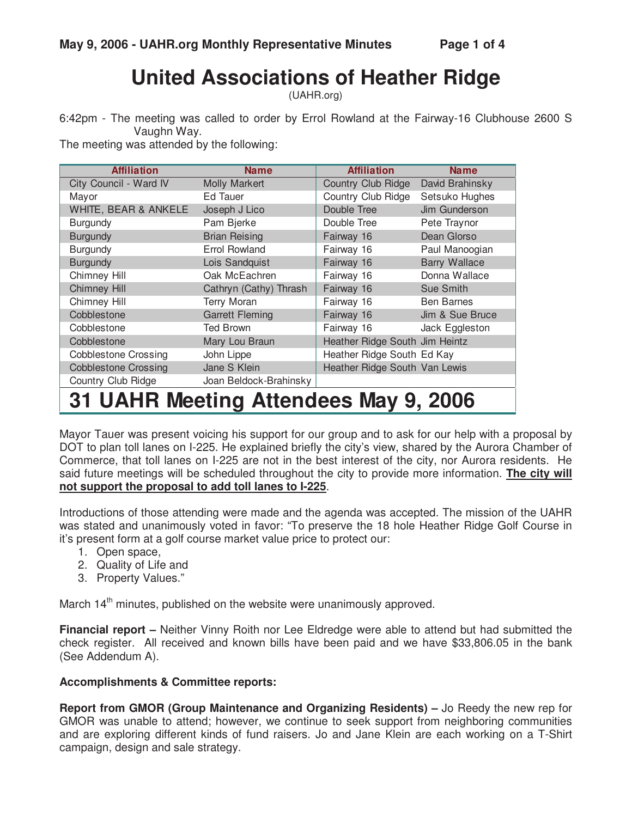# **United Associations of Heather Ridge**

(UAHR.org)

6:42pm - The meeting was called to order by Errol Rowland at the Fairway-16 Clubhouse 2600 S Vaughn Way.

The meeting was attended by the following:

| <b>Affiliation</b>                    | <b>Name</b>            | <b>Affiliation</b>             | <b>Name</b>          |  |  |
|---------------------------------------|------------------------|--------------------------------|----------------------|--|--|
| City Council - Ward IV                | <b>Molly Markert</b>   | Country Club Ridge             | David Brahinsky      |  |  |
| Mayor                                 | Ed Tauer               | Country Club Ridge             | Setsuko Hughes       |  |  |
| WHITE, BEAR & ANKELE                  | Joseph J Lico          | Double Tree                    | Jim Gunderson        |  |  |
| <b>Burgundy</b>                       | Pam Bjerke             | Double Tree                    | Pete Traynor         |  |  |
| <b>Burgundy</b>                       | <b>Brian Reising</b>   | Fairway 16                     | Dean Glorso          |  |  |
| <b>Burgundy</b>                       | <b>Errol Rowland</b>   | Fairway 16                     | Paul Manoogian       |  |  |
| <b>Burgundy</b>                       | Lois Sandquist         | Fairway 16                     | <b>Barry Wallace</b> |  |  |
| Chimney Hill                          | Oak McEachren          | Fairway 16                     | Donna Wallace        |  |  |
| <b>Chimney Hill</b>                   | Cathryn (Cathy) Thrash | Fairway 16                     | Sue Smith            |  |  |
| Chimney Hill                          | Terry Moran            | Fairway 16                     | <b>Ben Barnes</b>    |  |  |
| Cobblestone                           | <b>Garrett Fleming</b> | Fairway 16                     | Jim & Sue Bruce      |  |  |
| Cobblestone                           | Ted Brown              | Fairway 16                     | Jack Eggleston       |  |  |
| Cobblestone                           | Mary Lou Braun         | Heather Ridge South Jim Heintz |                      |  |  |
| <b>Cobblestone Crossing</b>           | John Lippe             | Heather Ridge South Ed Kay     |                      |  |  |
| <b>Cobblestone Crossing</b>           | Jane S Klein           | Heather Ridge South Van Lewis  |                      |  |  |
| Country Club Ridge                    | Joan Beldock-Brahinsky |                                |                      |  |  |
| 31 UAHR Meeting Attendees May 9, 2006 |                        |                                |                      |  |  |

Mayor Tauer was present voicing his support for our group and to ask for our help with a proposal by DOT to plan toll lanes on I-225. He explained briefly the city's view, shared by the Aurora Chamber of Commerce, that toll lanes on I-225 are not in the best interest of the city, nor Aurora residents. He said future meetings will be scheduled throughout the city to provide more information. **The city will not support the proposal to add toll lanes to I-225**.

Introductions of those attending were made and the agenda was accepted. The mission of the UAHR was stated and unanimously voted in favor: "To preserve the 18 hole Heather Ridge Golf Course in it's present form at a golf course market value price to protect our:

- 1. Open space,
- 2. Quality of Life and
- 3. Property Values."

March  $14<sup>th</sup>$  minutes, published on the website were unanimously approved.

**Financial report –** Neither Vinny Roith nor Lee Eldredge were able to attend but had submitted the check register. All received and known bills have been paid and we have \$33,806.05 in the bank (See Addendum A).

#### **Accomplishments & Committee reports:**

**Report from GMOR (Group Maintenance and Organizing Residents) –** Jo Reedy the new rep for GMOR was unable to attend; however, we continue to seek support from neighboring communities and are exploring different kinds of fund raisers. Jo and Jane Klein are each working on a T-Shirt campaign, design and sale strategy.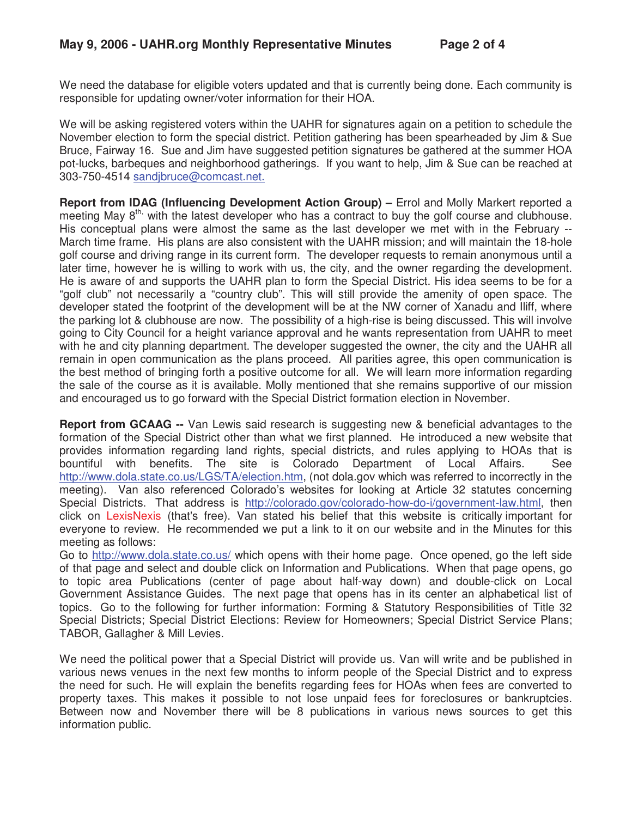We need the database for eligible voters updated and that is currently being done. Each community is responsible for updating owner/voter information for their HOA.

We will be asking registered voters within the UAHR for signatures again on a petition to schedule the November election to form the special district. Petition gathering has been spearheaded by Jim & Sue Bruce, Fairway 16. Sue and Jim have suggested petition signatures be gathered at the summer HOA pot-lucks, barbeques and neighborhood gatherings. If you want to help, Jim & Sue can be reached at 303-750-4514 sandjbruce@comcast.net.

**Report from IDAG (Influencing Development Action Group) –** Errol and Molly Markert reported a meeting May  $8<sup>th</sup>$ , with the latest developer who has a contract to buy the golf course and clubhouse. His conceptual plans were almost the same as the last developer we met with in the February -- March time frame. His plans are also consistent with the UAHR mission; and will maintain the 18-hole golf course and driving range in its current form. The developer requests to remain anonymous until a later time, however he is willing to work with us, the city, and the owner regarding the development. He is aware of and supports the UAHR plan to form the Special District. His idea seems to be for a "golf club" not necessarily a "country club". This will still provide the amenity of open space. The developer stated the footprint of the development will be at the NW corner of Xanadu and Iliff, where the parking lot & clubhouse are now. The possibility of a high-rise is being discussed. This will involve going to City Council for a height variance approval and he wants representation from UAHR to meet with he and city planning department. The developer suggested the owner, the city and the UAHR all remain in open communication as the plans proceed. All parities agree, this open communication is the best method of bringing forth a positive outcome for all. We will learn more information regarding the sale of the course as it is available. Molly mentioned that she remains supportive of our mission and encouraged us to go forward with the Special District formation election in November.

**Report from GCAAG --** Van Lewis said research is suggesting new & beneficial advantages to the formation of the Special District other than what we first planned. He introduced a new website that provides information regarding land rights, special districts, and rules applying to HOAs that is bountiful with benefits. The site is Colorado Department of Local Affairs. See http://www.dola.state.co.us/LGS/TA/election.htm, (not dola.gov which was referred to incorrectly in the meeting). Van also referenced Colorado's websites for looking at Article 32 statutes concerning Special Districts. That address is http://colorado.gov/colorado-how-do-i/government-law.html, then click on LexisNexis (that's free). Van stated his belief that this website is critically important for everyone to review. He recommended we put a link to it on our website and in the Minutes for this meeting as follows:

Go to http://www.dola.state.co.us/ which opens with their home page. Once opened, go the left side of that page and select and double click on Information and Publications. When that page opens, go to topic area Publications (center of page about half-way down) and double-click on Local Government Assistance Guides. The next page that opens has in its center an alphabetical list of topics. Go to the following for further information: Forming & Statutory Responsibilities of Title 32 Special Districts; Special District Elections: Review for Homeowners; Special District Service Plans; TABOR, Gallagher & Mill Levies.

We need the political power that a Special District will provide us. Van will write and be published in various news venues in the next few months to inform people of the Special District and to express the need for such. He will explain the benefits regarding fees for HOAs when fees are converted to property taxes. This makes it possible to not lose unpaid fees for foreclosures or bankruptcies. Between now and November there will be 8 publications in various news sources to get this information public.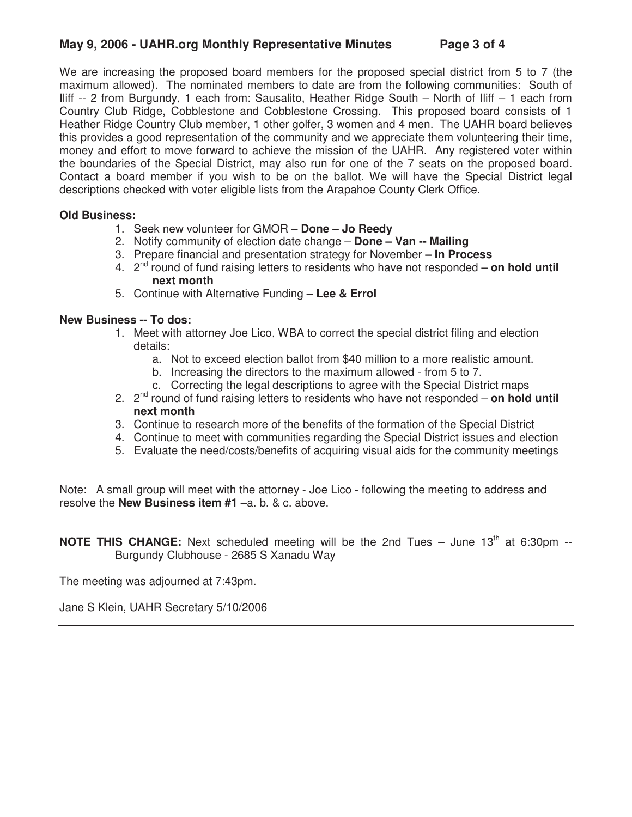### **May 9, 2006 - UAHR.org Monthly Representative Minutes Page 3 of 4**

We are increasing the proposed board members for the proposed special district from 5 to 7 (the maximum allowed). The nominated members to date are from the following communities: South of Iliff -- 2 from Burgundy, 1 each from: Sausalito, Heather Ridge South – North of Iliff – 1 each from Country Club Ridge, Cobblestone and Cobblestone Crossing. This proposed board consists of 1 Heather Ridge Country Club member, 1 other golfer, 3 women and 4 men. The UAHR board believes this provides a good representation of the community and we appreciate them volunteering their time, money and effort to move forward to achieve the mission of the UAHR. Any registered voter within the boundaries of the Special District, may also run for one of the 7 seats on the proposed board. Contact a board member if you wish to be on the ballot. We will have the Special District legal descriptions checked with voter eligible lists from the Arapahoe County Clerk Office.

#### **Old Business:**

- 1. Seek new volunteer for GMOR **Done Jo Reedy**
- 2. Notify community of election date change **Done Van -- Mailing**
- 3. Prepare financial and presentation strategy for November **In Process**
- 4. 2nd round of fund raising letters to residents who have not responded **on hold until next month**
- 5. Continue with Alternative Funding **Lee & Errol**

#### **New Business -- To dos:**

- 1. Meet with attorney Joe Lico, WBA to correct the special district filing and election details:
	- a. Not to exceed election ballot from \$40 million to a more realistic amount.
	- b. Increasing the directors to the maximum allowed from 5 to 7.
	- c. Correcting the legal descriptions to agree with the Special District maps
- 2. 2nd round of fund raising letters to residents who have not responded **on hold until next month**
- 3. Continue to research more of the benefits of the formation of the Special District
- 4. Continue to meet with communities regarding the Special District issues and election
- 5. Evaluate the need/costs/benefits of acquiring visual aids for the community meetings

Note: A small group will meet with the attorney - Joe Lico - following the meeting to address and resolve the **New Business item #1** –a. b. & c. above.

**NOTE THIS CHANGE:** Next scheduled meeting will be the 2nd Tues – June 13<sup>th</sup> at 6:30pm --Burgundy Clubhouse - 2685 S Xanadu Way

The meeting was adjourned at 7:43pm.

Jane S Klein, UAHR Secretary 5/10/2006